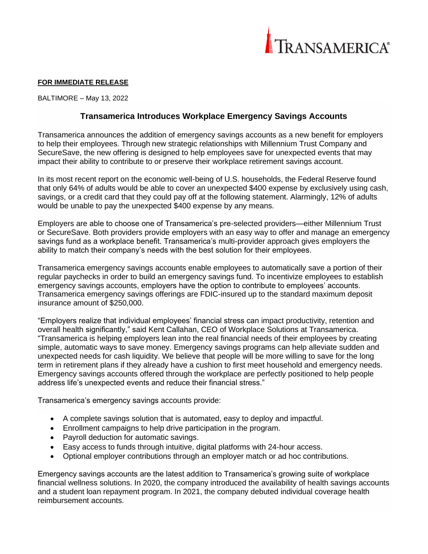

## **FOR IMMEDIATE RELEASE**

BALTIMORE – May 13, 2022

# **Transamerica Introduces Workplace Emergency Savings Accounts**

Transamerica announces the addition of emergency savings accounts as a new benefit for employers to help their employees. Through new strategic relationships with Millennium Trust Company and SecureSave, the new offering is designed to help employees save for unexpected events that may impact their ability to contribute to or preserve their workplace retirement savings account.

In its most recent report on the economic well-being of U.S. households, the Federal Reserve found that only 64% of adults would be able to cover an unexpected \$400 expense by exclusively using cash, savings, or a credit card that they could pay off at the following statement. Alarmingly, 12% of adults would be unable to pay the unexpected \$400 expense by any means.

Employers are able to choose one of Transamerica's pre-selected providers—either Millennium Trust or SecureSave. Both providers provide employers with an easy way to offer and manage an emergency savings fund as a workplace benefit. Transamerica's multi-provider approach gives employers the ability to match their company's needs with the best solution for their employees.

Transamerica emergency savings accounts enable employees to automatically save a portion of their regular paychecks in order to build an emergency savings fund. To incentivize employees to establish emergency savings accounts, employers have the option to contribute to employees' accounts. Transamerica emergency savings offerings are FDIC-insured up to the standard maximum deposit insurance amount of \$250,000.

"Employers realize that individual employees' financial stress can impact productivity, retention and overall health significantly," said Kent Callahan, CEO of Workplace Solutions at Transamerica. "Transamerica is helping employers lean into the real financial needs of their employees by creating simple, automatic ways to save money. Emergency savings programs can help alleviate sudden and unexpected needs for cash liquidity. We believe that people will be more willing to save for the long term in retirement plans if they already have a cushion to first meet household and emergency needs. Emergency savings accounts offered through the workplace are perfectly positioned to help people address life's unexpected events and reduce their financial stress."

Transamerica's emergency savings accounts provide:

- A complete savings solution that is automated, easy to deploy and impactful.
- Enrollment campaigns to help drive participation in the program.
- Payroll deduction for automatic savings.
- Easy access to funds through intuitive, digital platforms with 24-hour access.
- Optional employer contributions through an employer match or ad hoc contributions.

Emergency savings accounts are the latest addition to Transamerica's growing suite of workplace financial wellness solutions. In 2020, the company introduced the availability of health savings accounts and a student loan repayment program. In 2021, the company debuted individual coverage health reimbursement accounts.